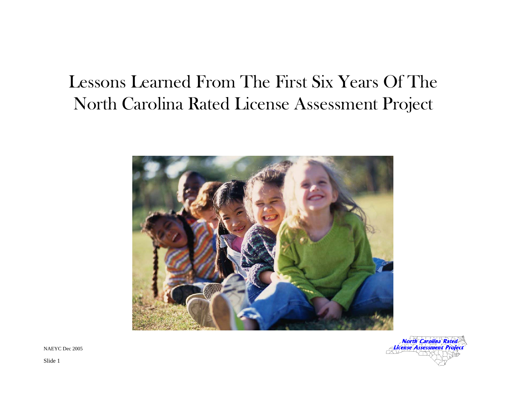# Lessons Learned From The First Six Years Of The North Carolina Rated License Assessment Project





NAEYC Dec 2005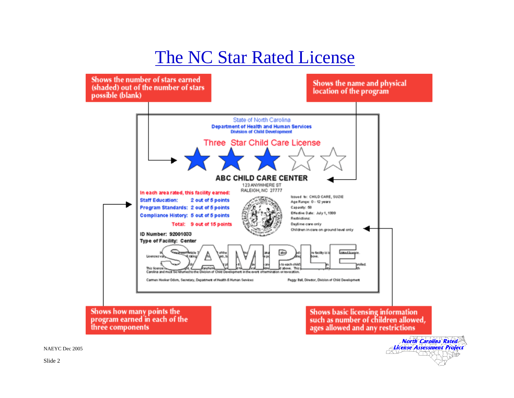### The NC Star Rated License



License Assessment Project

NAEYC Dec 2005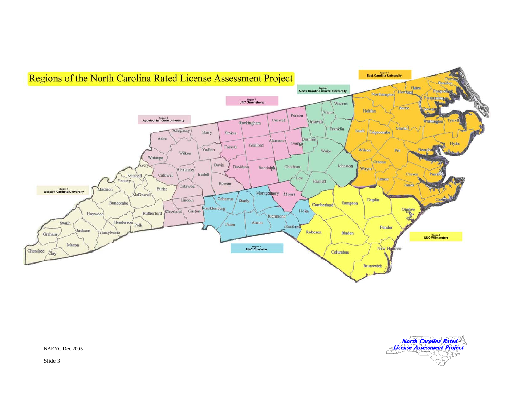



NAEYC Dec 2005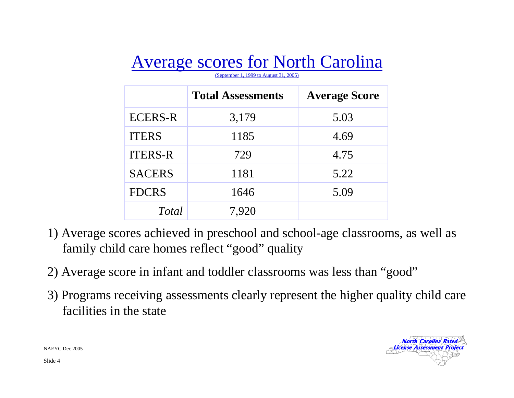# Average scores for North Carolina

(September 1, 1999 to August 31, 2005)

|                | <b>Total Assessments</b> | <b>Average Score</b> |
|----------------|--------------------------|----------------------|
| <b>ECERS-R</b> | 3,179                    | 5.03                 |
| <b>ITERS</b>   | 1185                     | 4.69                 |
| <b>ITERS-R</b> | 729                      | 4.75                 |
| <b>SACERS</b>  | 1181                     | 5.22                 |
| <b>FDCRS</b>   | 1646                     | 5.09                 |
| Total          | 7,920                    |                      |

- 1) Average scores achieved in preschool and school-age classrooms, as well as family child care homes reflect "good" quality
- 2) Average score in infant and toddler classrooms was less than "good"
- 3) Programs receiving assessments clearly represent the higher quality child care facilities in the state



NAEYC Dec 2005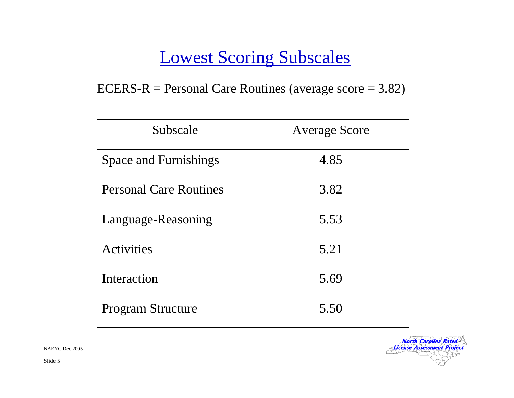#### Lowest Scoring Subscales

#### ECERS-R = Personal Care Routines (average score = 3.82)

| Subscale                      | <b>Average Score</b> |  |
|-------------------------------|----------------------|--|
| <b>Space and Furnishings</b>  | 4.85                 |  |
| <b>Personal Care Routines</b> | 3.82                 |  |
| Language-Reasoning            | 5.53                 |  |
| Activities                    | 5.21                 |  |
| Interaction                   | 5.69                 |  |
| <b>Program Structure</b>      | 5.50                 |  |



NAEYC Dec 2005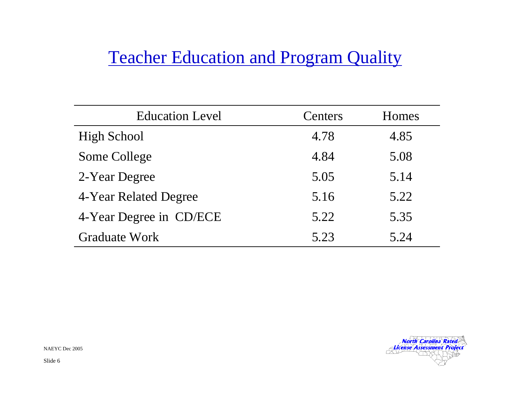### **Teacher Education and Program Quality**

| <b>Education Level</b>  | Centers | Homes |
|-------------------------|---------|-------|
| <b>High School</b>      | 4.78    | 4.85  |
| Some College            | 4.84    | 5.08  |
| 2-Year Degree           | 5.05    | 5.14  |
| 4-Year Related Degree   | 5.16    | 5.22  |
| 4-Year Degree in CD/ECE | 5.22    | 5.35  |
| <b>Graduate Work</b>    | 5.23    | 5.24  |



NAEYC Dec 2005